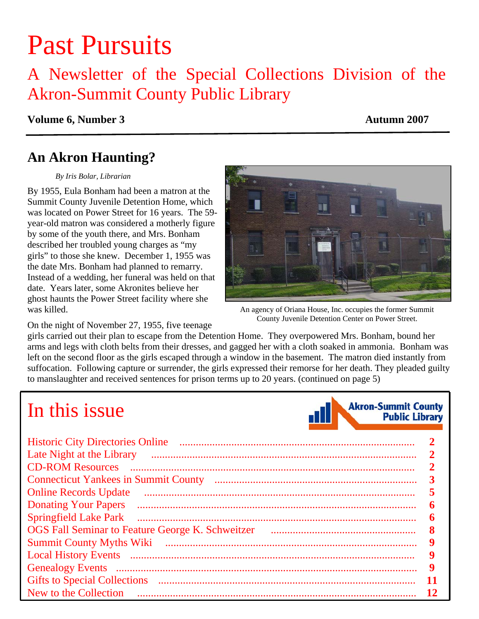# Past Pursuits

A Newsletter of the Special Collections Division of the Akron-Summit County Public Library

#### **Volume 6, Number 3 Autumn 2007**

### **An Akron Haunting?**

#### *By Iris Bolar, Librarian*

By 1955, Eula Bonham had been a matron at the Summit County Juvenile Detention Home, which was located on Power Street for 16 years. The 59 year-old matron was considered a motherly figure by some of the youth there, and Mrs. Bonham described her troubled young charges as "my girls" to those she knew. December 1, 1955 was the date Mrs. Bonham had planned to remarry. Instead of a wedding, her funeral was held on that date. Years later, some Akronites believe her ghost haunts the Power Street facility where she



was killed. An agency of Oriana House, Inc. occupies the former Summit<br>County Juvenile Detention Center on Power Street.

On the night of November 27, 1955, five teenage.

girls carried out their plan to escape from the Detention Home. They overpowered Mrs. Bonham, bound her arms and legs with cloth belts from their dresses, and gagged her with a cloth soaked in ammonia. Bonham was left on the second floor as the girls escaped through a window in the basement. The matron died instantly from suffocation. Following capture or surrender, the girls expressed their remorse for her death. They pleaded guilty to manslaughter and received sentences for prison terms up to 20 years. (continued on page 5)

| <b>Akron-Summit County<br/>Public Library</b><br>In this issue                                                                                                                                                                      |                |
|-------------------------------------------------------------------------------------------------------------------------------------------------------------------------------------------------------------------------------------|----------------|
|                                                                                                                                                                                                                                     |                |
|                                                                                                                                                                                                                                     |                |
| <b>CD-ROM Resources</b>                                                                                                                                                                                                             | $\overline{2}$ |
|                                                                                                                                                                                                                                     | 3              |
| <b>Online Records Update</b>                                                                                                                                                                                                        | 5              |
|                                                                                                                                                                                                                                     | 6              |
|                                                                                                                                                                                                                                     | 6              |
| OGS Fall Seminar to Feature George K. Schweitzer <b>Factaor</b> Manuscritts and Seminary Constant Seminary Constant Seminary Constant Seminary Constant Seminary Constant Seminary Constant Seminary Constant Seminary Constant Sem | 8              |
|                                                                                                                                                                                                                                     | 9              |
|                                                                                                                                                                                                                                     | 9              |
|                                                                                                                                                                                                                                     | 9              |
|                                                                                                                                                                                                                                     | 11             |
| New to the Collection                                                                                                                                                                                                               | 12             |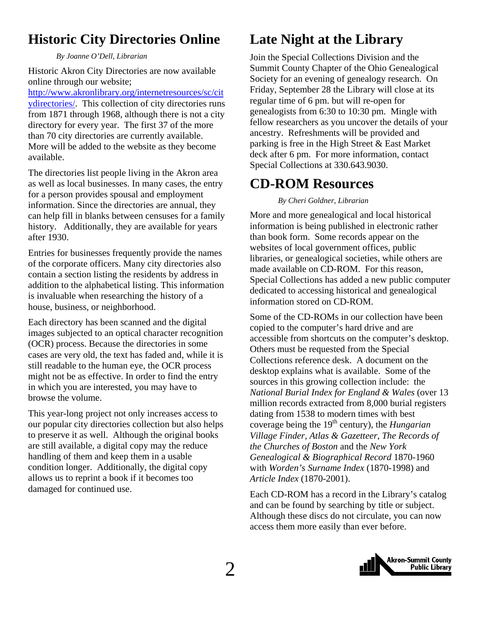### **Historic City Directories Online**

#### *By Joanne O'Dell, Librarian*

Historic Akron City Directories are now available online through our website;

[http://www.akronlibrary.org/internetresources/sc/cit](http://www.akronlibrary.org/internetresources/sc/citydirectories/) [ydirectories/](http://www.akronlibrary.org/internetresources/sc/citydirectories/). This collection of city directories runs from 1871 through 1968, although there is not a city directory for every year. The first 37 of the more than 70 city directories are currently available. More will be added to the website as they become available.

The directories list people living in the Akron area as well as local businesses. In many cases, the entry for a person provides spousal and employment information. Since the directories are annual, they can help fill in blanks between censuses for a family history. Additionally, they are available for years after 1930.

Entries for businesses frequently provide the names of the corporate officers. Many city directories also contain a section listing the residents by address in addition to the alphabetical listing. This information is invaluable when researching the history of a house, business, or neighborhood.

Each directory has been scanned and the digital images subjected to an optical character recognition (OCR) process. Because the directories in some cases are very old, the text has faded and, while it is still readable to the human eye, the OCR process might not be as effective. In order to find the entry in which you are interested, you may have to browse the volume.

This year-long project not only increases access to our popular city directories collection but also helps to preserve it as well. Although the original books are still available, a digital copy may the reduce handling of them and keep them in a usable condition longer. Additionally, the digital copy allows us to reprint a book if it becomes too damaged for continued use.

## **Late Night at the Library**

Join the Special Collections Division and the Summit County Chapter of the Ohio Genealogical Society for an evening of genealogy research. On Friday, September 28 the Library will close at its regular time of 6 pm. but will re-open for genealogists from 6:30 to 10:30 pm. Mingle with fellow researchers as you uncover the details of your ancestry. Refreshments will be provided and parking is free in the High Street & East Market deck after 6 pm. For more information, contact Special Collections at 330.643.9030.

### **CD-ROM Resources**

#### *By Cheri Goldner, Librarian*

More and more genealogical and local historical information is being published in electronic rather than book form. Some records appear on the websites of local government offices, public libraries, or genealogical societies, while others are made available on CD-ROM. For this reason, Special Collections has added a new public computer dedicated to accessing historical and genealogical information stored on CD-ROM.

Some of the CD-ROMs in our collection have been copied to the computer's hard drive and are accessible from shortcuts on the computer's desktop. Others must be requested from the Special Collections reference desk. A document on the desktop explains what is available. Some of the sources in this growing collection include: the *National Burial Index for England & Wales* (over 13 million records extracted from 8,000 burial registers dating from 1538 to modern times with best coverage being the 19<sup>th</sup> century), the *Hungarian Village Finder, Atlas & Gazetteer*, *The Records of the Churches of Boston* and the *New York Genealogical & Biographical Record* 1870-1960 with *Worden's Surname Index* (1870-1998) and *Article Index* (1870-2001).

Each CD-ROM has a record in the Library's catalog and can be found by searching by title or subject. Although these discs do not circulate, you can now access them more easily than ever before.

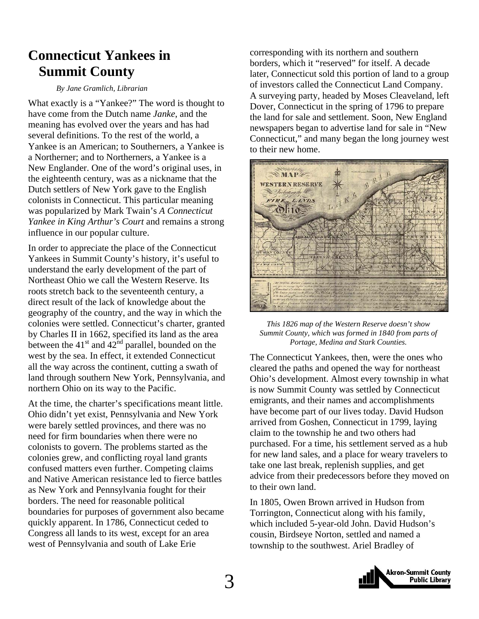### **Connecticut Yankees in Summit County**

#### *By Jane Gramlich, Librarian*

What exactly is a "Yankee?" The word is thought to have come from the Dutch name *Janke*, and the meaning has evolved over the years and has had several definitions. To the rest of the world, a Yankee is an American; to Southerners, a Yankee is a Northerner; and to Northerners, a Yankee is a New Englander. One of the word's original uses, in the eighteenth century, was as a nickname that the Dutch settlers of New York gave to the English colonists in Connecticut. This particular meaning was popularized by Mark Twain's *A Connecticut Yankee in King Arthur's Court* and remains a strong influence in our popular culture.

In order to appreciate the place of the Connecticut Yankees in Summit County's history, it's useful to understand the early development of the part of Northeast Ohio we call the Western Reserve. Its roots stretch back to the seventeenth century, a direct result of the lack of knowledge about the geography of the country, and the way in which the colonies were settled. Connecticut's charter, granted by Charles II in 1662, specified its land as the area between the  $41<sup>st</sup>$  and  $42<sup>nd</sup>$  parallel, bounded on the west by the sea. In effect, it extended Connecticut all the way across the continent, cutting a swath of land through southern New York, Pennsylvania, and northern Ohio on its way to the Pacific.

At the time, the charter's specifications meant little. Ohio didn't yet exist, Pennsylvania and New York were barely settled provinces, and there was no need for firm boundaries when there were no colonists to govern. The problems started as the colonies grew, and conflicting royal land grants confused matters even further. Competing claims and Native American resistance led to fierce battles as New York and Pennsylvania fought for their borders. The need for reasonable political boundaries for purposes of government also became quickly apparent. In 1786, Connecticut ceded to Congress all lands to its west, except for an area west of Pennsylvania and south of Lake Erie

corresponding with its northern and southern borders, which it "reserved" for itself. A decade later, Connecticut sold this portion of land to a group of investors called the Connecticut Land Company. A surveying party, headed by Moses Cleaveland, left Dover, Connecticut in the spring of 1796 to prepare the land for sale and settlement. Soon, New England newspapers began to advertise land for sale in "New Connecticut," and many began the long journey west to their new home.



*This 1826 map of the Western Reserve doesn't show Summit County, which was formed in 1840 from parts of Portage, Medina and Stark Counties.* 

The Connecticut Yankees, then, were the ones who cleared the paths and opened the way for northeast Ohio's development. Almost every township in what is now Summit County was settled by Connecticut emigrants, and their names and accomplishments have become part of our lives today. David Hudson arrived from Goshen, Connecticut in 1799, laying claim to the township he and two others had purchased. For a time, his settlement served as a hub for new land sales, and a place for weary travelers to take one last break, replenish supplies, and get advice from their predecessors before they moved on to their own land.

In 1805, Owen Brown arrived in Hudson from Torrington, Connecticut along with his family, which included 5-year-old John. David Hudson's cousin, Birdseye Norton, settled and named a township to the southwest. Ariel Bradley of

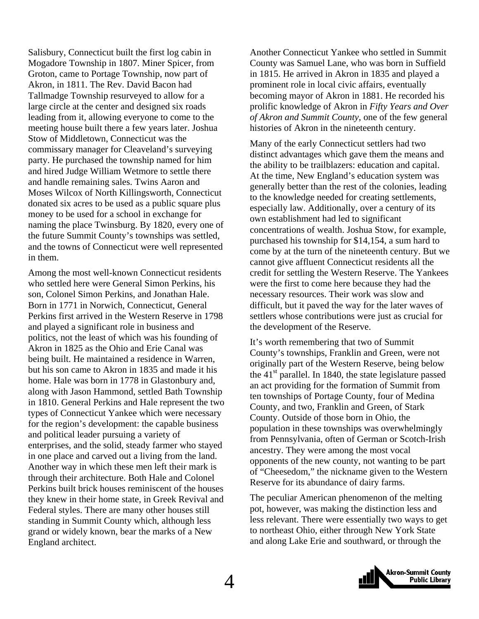Salisbury, Connecticut built the first log cabin in Mogadore Township in 1807. Miner Spicer, from Groton, came to Portage Township, now part of Akron, in 1811. The Rev. David Bacon had Tallmadge Township resurveyed to allow for a large circle at the center and designed six roads leading from it, allowing everyone to come to the meeting house built there a few years later. Joshua Stow of Middletown, Connecticut was the commissary manager for Cleaveland's surveying party. He purchased the township named for him and hired Judge William Wetmore to settle there and handle remaining sales. Twins Aaron and Moses Wilcox of North Killingsworth, Connecticut donated six acres to be used as a public square plus money to be used for a school in exchange for naming the place Twinsburg. By 1820, every one of the future Summit County's townships was settled, and the towns of Connecticut were well represented in them.

Among the most well-known Connecticut residents who settled here were General Simon Perkins, his son, Colonel Simon Perkins, and Jonathan Hale. Born in 1771 in Norwich, Connecticut, General Perkins first arrived in the Western Reserve in 1798 and played a significant role in business and politics, not the least of which was his founding of Akron in 1825 as the Ohio and Erie Canal was being built. He maintained a residence in Warren, but his son came to Akron in 1835 and made it his home. Hale was born in 1778 in Glastonbury and, along with Jason Hammond, settled Bath Township in 1810. General Perkins and Hale represent the two types of Connecticut Yankee which were necessary for the region's development: the capable business and political leader pursuing a variety of enterprises, and the solid, steady farmer who stayed in one place and carved out a living from the land. Another way in which these men left their mark is through their architecture. Both Hale and Colonel Perkins built brick houses reminiscent of the houses they knew in their home state, in Greek Revival and Federal styles. There are many other houses still standing in Summit County which, although less grand or widely known, bear the marks of a New England architect.

Another Connecticut Yankee who settled in Summit County was Samuel Lane, who was born in Suffield in 1815. He arrived in Akron in 1835 and played a prominent role in local civic affairs, eventually becoming mayor of Akron in 1881. He recorded his prolific knowledge of Akron in *Fifty Years and Over of Akron and Summit County*, one of the few general histories of Akron in the nineteenth century.

Many of the early Connecticut settlers had two distinct advantages which gave them the means and the ability to be trailblazers: education and capital. At the time, New England's education system was generally better than the rest of the colonies, leading to the knowledge needed for creating settlements, especially law. Additionally, over a century of its own establishment had led to significant concentrations of wealth. Joshua Stow, for example, purchased his township for \$14,154, a sum hard to come by at the turn of the nineteenth century. But we cannot give affluent Connecticut residents all the credit for settling the Western Reserve. The Yankees were the first to come here because they had the necessary resources. Their work was slow and difficult, but it paved the way for the later waves of settlers whose contributions were just as crucial for the development of the Reserve.

It's worth remembering that two of Summit County's townships, Franklin and Green, were not originally part of the Western Reserve, being below the  $41<sup>st</sup>$  parallel. In 1840, the state legislature passed an act providing for the formation of Summit from ten townships of Portage County, four of Medina County, and two, Franklin and Green, of Stark County. Outside of those born in Ohio, the population in these townships was overwhelmingly from Pennsylvania, often of German or Scotch-Irish ancestry. They were among the most vocal opponents of the new county, not wanting to be part of "Cheesedom," the nickname given to the Western Reserve for its abundance of dairy farms.

The peculiar American phenomenon of the melting pot, however, was making the distinction less and less relevant. There were essentially two ways to get to northeast Ohio, either through New York State and along Lake Erie and southward, or through the

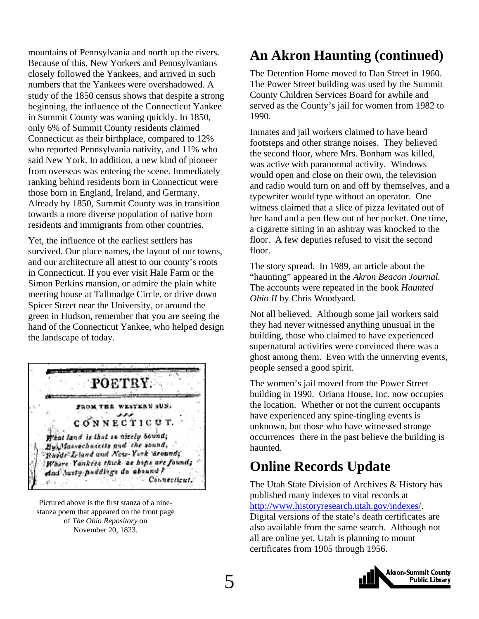mountains of Pennsylvania and north up the rivers. Because of this, New Yorkers and Pennsylvanians closely followed the Yankees, and arrived in such numbers that the Yankees were overshadowed. A study of the 1850 census shows that despite a strong beginning, the influence of the Connecticut Yankee in Summit County was waning quickly. In 1850, only 6% of Summit County residents claimed Connecticut as their birthplace, compared to 12% who reported Pennsylvania nativity, and 11% who said New York. In addition, a new kind of pioneer from overseas was entering the scene. Immediately ranking behind residents born in Connecticut were those born in England, Ireland, and Germany. Already by 1850, Summit County was in transition towards a more diverse population of native born residents and immigrants from other countries.

Yet, the influence of the earliest settlers has survived. Our place names, the layout of our towns, and our architecture all attest to our county's roots in Connecticut. If you ever visit Hale Farm or the Simon Perkins mansion, or admire the plain white meeting house at Tallmadge Circle, or drive down Spicer Street near the University, or around the green in Hudson, remember that you are seeing the hand of the Connecticut Yankee, who helped design the landscape of today.



Pictured above is the first stanza of a ninestanza poem that appeared on the front page of *The Ohio Repository* on November 20, 1823.

### **An Akron Haunting (continued)**

The Detention Home moved to Dan Street in 1960. The Power Street building was used by the Summit County Children Services Board for awhile and served as the County's jail for women from 1982 to 1990.

Inmates and jail workers claimed to have heard footsteps and other strange noises. They believed the second floor, where Mrs. Bonham was killed, was active with paranormal activity. Windows would open and close on their own, the television and radio would turn on and off by themselves, and a typewriter would type without an operator. One witness claimed that a slice of pizza levitated out of her hand and a pen flew out of her pocket. One time, a cigarette sitting in an ashtray was knocked to the floor. A few deputies refused to visit the second floor.

The story spread. In 1989, an article about the "haunting" appeared in the *Akron Beacon Journal.* The accounts were repeated in the book *Haunted Ohio II* by Chris Woodyard.

Not all believed. Although some jail workers said they had never witnessed anything unusual in the building, those who claimed to have experienced supernatural activities were convinced there was a ghost among them. Even with the unnerving events, people sensed a good spirit.

The women's jail moved from the Power Street building in 1990. Oriana House, Inc. now occupies the location. Whether or not the current occupants have experienced any spine-tingling events is unknown, but those who have witnessed strange occurrences there in the past believe the building is haunted.

### **Online Records Update**

The Utah State Division of Archives & History has published many indexes to vital records at [http://www.historyresearch.utah.gov/indexes/.](http://www.historyresearch.utah.gov/indexes/)

Digital versions of the state's death certificates are also available from the same search. Although not all are online yet, Utah is planning to mount certificates from 1905 through 1956.

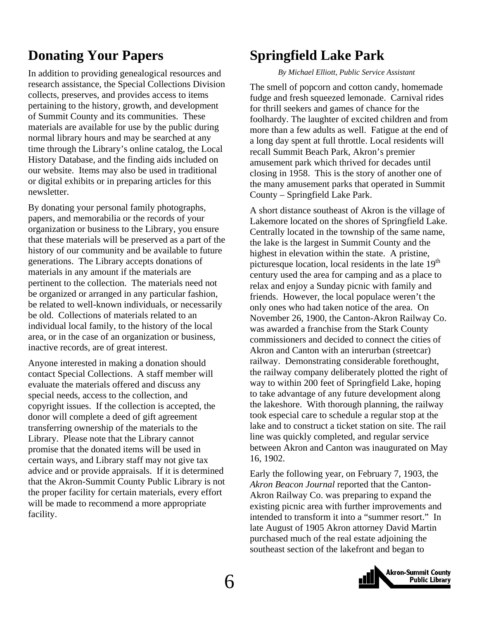### **Donating Your Papers**

In addition to providing genealogical resources and research assistance, the Special Collections Division collects, preserves, and provides access to items pertaining to the history, growth, and development of Summit County and its communities. These materials are available for use by the public during normal library hours and may be searched at any time through the Library's online catalog, the Local History Database, and the finding aids included on our website. Items may also be used in traditional or digital exhibits or in preparing articles for this newsletter.

By donating your personal family photographs, papers, and memorabilia or the records of your organization or business to the Library, you ensure that these materials will be preserved as a part of the history of our community and be available to future generations. The Library accepts donations of materials in any amount if the materials are pertinent to the collection. The materials need not be organized or arranged in any particular fashion, be related to well-known individuals, or necessarily be old. Collections of materials related to an individual local family, to the history of the local area, or in the case of an organization or business, inactive records, are of great interest.

Anyone interested in making a donation should contact Special Collections. A staff member will evaluate the materials offered and discuss any special needs, access to the collection, and copyright issues. If the collection is accepted, the donor will complete a deed of gift agreement transferring ownership of the materials to the Library. Please note that the Library cannot promise that the donated items will be used in certain ways, and Library staff may not give tax advice and or provide appraisals. If it is determined that the Akron-Summit County Public Library is not the proper facility for certain materials, every effort will be made to recommend a more appropriate facility.

### **Springfield Lake Park**

#### *By Michael Elliott, Public Service Assistant*

The smell of popcorn and cotton candy, homemade fudge and fresh squeezed lemonade. Carnival rides for thrill seekers and games of chance for the foolhardy. The laughter of excited children and from more than a few adults as well. Fatigue at the end of a long day spent at full throttle. Local residents will recall Summit Beach Park, Akron's premier amusement park which thrived for decades until closing in 1958. This is the story of another one of the many amusement parks that operated in Summit County – Springfield Lake Park.

A short distance southeast of Akron is the village of Lakemore located on the shores of Springfield Lake. Centrally located in the township of the same name, the lake is the largest in Summit County and the highest in elevation within the state. A pristine, picturesque location, local residents in the late  $19<sup>th</sup>$ century used the area for camping and as a place to relax and enjoy a Sunday picnic with family and friends. However, the local populace weren't the only ones who had taken notice of the area. On November 26, 1900, the Canton-Akron Railway Co. was awarded a franchise from the Stark County commissioners and decided to connect the cities of Akron and Canton with an interurban (streetcar) railway. Demonstrating considerable forethought, the railway company deliberately plotted the right of way to within 200 feet of Springfield Lake, hoping to take advantage of any future development along the lakeshore. With thorough planning, the railway took especial care to schedule a regular stop at the lake and to construct a ticket station on site. The rail line was quickly completed, and regular service between Akron and Canton was inaugurated on May 16, 1902.

Early the following year, on February 7, 1903, the *Akron Beacon Journal* reported that the Canton-Akron Railway Co. was preparing to expand the existing picnic area with further improvements and intended to transform it into a "summer resort." In late August of 1905 Akron attorney David Martin purchased much of the real estate adjoining the southeast section of the lakefront and began to

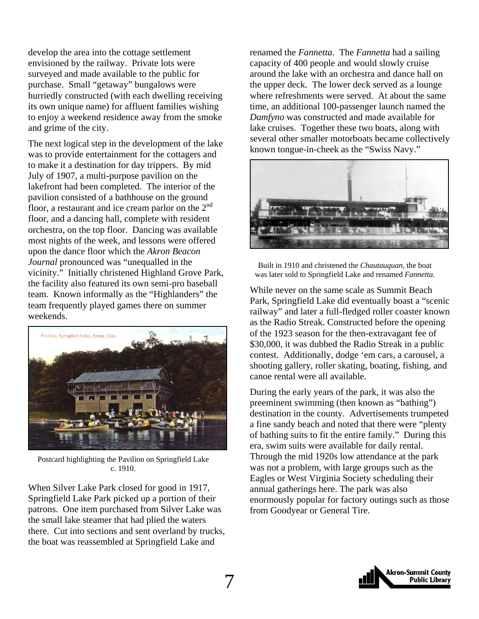develop the area into the cottage settlement envisioned by the railway. Private lots were surveyed and made available to the public for purchase. Small "getaway" bungalows were hurriedly constructed (with each dwelling receiving its own unique name) for affluent families wishing to enjoy a weekend residence away from the smoke and grime of the city.

The next logical step in the development of the lake was to provide entertainment for the cottagers and to make it a destination for day trippers. By mid July of 1907, a multi-purpose pavilion on the lakefront had been completed. The interior of the pavilion consisted of a bathhouse on the ground floor, a restaurant and ice cream parlor on the  $2<sup>nd</sup>$ floor, and a dancing hall, complete with resident orchestra, on the top floor. Dancing was available most nights of the week, and lessons were offered upon the dance floor which the *Akron Beacon Journal* pronounced was "unequalled in the vicinity." Initially christened Highland Grove Park, the facility also featured its own semi-pro baseball team. Known informally as the "Highlanders" the team frequently played games there on summer weekends.



Postcard highlighting the Pavilion on Springfield Lake c. 1910.

When Silver Lake Park closed for good in 1917, Springfield Lake Park picked up a portion of their patrons. One item purchased from Silver Lake was the small lake steamer that had plied the waters there. Cut into sections and sent overland by trucks, the boat was reassembled at Springfield Lake and

renamed the *Fannetta*. The *Fannetta* had a sailing capacity of 400 people and would slowly cruise around the lake with an orchestra and dance hall on the upper deck. The lower deck served as a lounge where refreshments were served. At about the same time, an additional 100-passenger launch named the *Damfyno* was constructed and made available for lake cruises. Together these two boats, along with several other smaller motorboats became collectively known tongue-in-cheek as the "Swiss Navy."



Built in 1910 and christened the *Chautauquan*, the boat was later sold to Springfield Lake and renamed *Fannetta*.

While never on the same scale as Summit Beach Park, Springfield Lake did eventually boast a "scenic railway" and later a full-fledged roller coaster known as the Radio Streak. Constructed before the opening of the 1923 season for the then-extravagant fee of \$30,000, it was dubbed the Radio Streak in a public contest. Additionally, dodge 'em cars, a carousel, a shooting gallery, roller skating, boating, fishing, and canoe rental were all available.

During the early years of the park, it was also the preeminent swimming (then known as "bathing") destination in the county. Advertisements trumpeted a fine sandy beach and noted that there were "plenty of bathing suits to fit the entire family." During this era, swim suits were available for daily rental. Through the mid 1920s low attendance at the park was not a problem, with large groups such as the Eagles or West Virginia Society scheduling their annual gatherings here. The park was also enormously popular for factory outings such as those from Goodyear or General Tire.

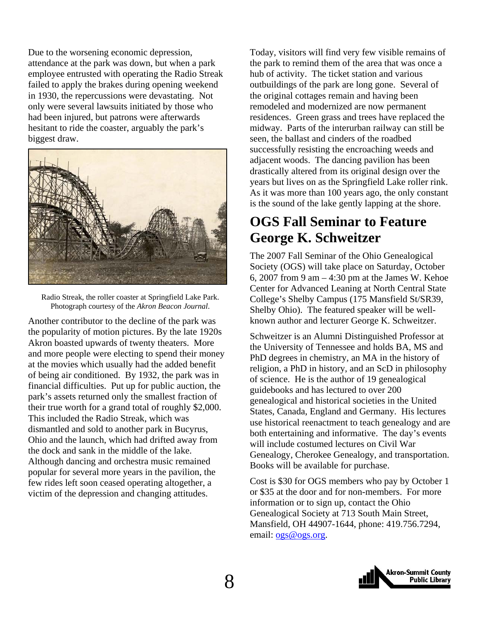Due to the worsening economic depression, attendance at the park was down, but when a park employee entrusted with operating the Radio Streak failed to apply the brakes during opening weekend in 1930, the repercussions were devastating. Not only were several lawsuits initiated by those who had been injured, but patrons were afterwards hesitant to ride the coaster, arguably the park's biggest draw.



Radio Streak, the roller coaster at Springfield Lake Park. Photograph courtesy of the *Akron Beacon Journal*.

Another contributor to the decline of the park was the popularity of motion pictures. By the late 1920s Akron boasted upwards of twenty theaters. More and more people were electing to spend their money at the movies which usually had the added benefit of being air conditioned. By 1932, the park was in financial difficulties. Put up for public auction, the park's assets returned only the smallest fraction of their true worth for a grand total of roughly \$2,000. This included the Radio Streak, which was dismantled and sold to another park in Bucyrus, Ohio and the launch, which had drifted away from the dock and sank in the middle of the lake. Although dancing and orchestra music remained popular for several more years in the pavilion, the few rides left soon ceased operating altogether, a victim of the depression and changing attitudes.

Today, visitors will find very few visible remains of the park to remind them of the area that was once a hub of activity. The ticket station and various outbuildings of the park are long gone. Several of the original cottages remain and having been remodeled and modernized are now permanent residences. Green grass and trees have replaced the midway. Parts of the interurban railway can still be seen, the ballast and cinders of the roadbed successfully resisting the encroaching weeds and adjacent woods. The dancing pavilion has been drastically altered from its original design over the years but lives on as the Springfield Lake roller rink. As it was more than 100 years ago, the only constant is the sound of the lake gently lapping at the shore.

### **OGS Fall Seminar to Feature George K. Schweitzer**

The 2007 Fall Seminar of the Ohio Genealogical Society (OGS) will take place on Saturday, October 6, 2007 from 9 am  $-$  4:30 pm at the James W. Kehoe Center for Advanced Leaning at North Central State College's Shelby Campus (175 Mansfield St/SR39, Shelby Ohio). The featured speaker will be wellknown author and lecturer George K. Schweitzer.

Schweitzer is an Alumni Distinguished Professor at the University of Tennessee and holds BA, MS and PhD degrees in chemistry, an MA in the history of religion, a PhD in history, and an ScD in philosophy of science. He is the author of 19 genealogical guidebooks and has lectured to over 200 genealogical and historical societies in the United States, Canada, England and Germany. His lectures use historical reenactment to teach genealogy and are both entertaining and informative. The day's events will include costumed lectures on Civil War Genealogy, Cherokee Genealogy, and transportation. Books will be available for purchase.

Cost is \$30 for OGS members who pay by October 1 or \$35 at the door and for non-members. For more information or to sign up, contact the Ohio Genealogical Society at 713 South Main Street, Mansfield, OH 44907-1644, phone: 419.756.7294, email: [ogs@ogs.org.](mailto:ogs@ogs.org)

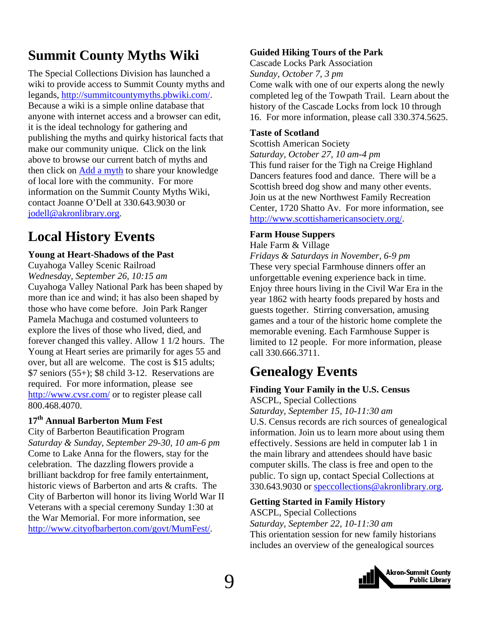### **Summit County Myths Wiki**

The Special Collections Division has launched a wiki to provide access to Summit County myths and legands, [http://summitcountymyths.pbwiki.com/.](http://summitcountymyths.pbwiki.com/) Because a wiki is a simple online database that anyone with internet access and a browser can edit, it is the ideal technology for gathering and publishing the myths and quirky historical facts that make our community unique. Click on the link above to browse our current batch of myths and then click on [Add a myth](http://summitcountymyths.pbwiki.com/Add) to share your knowledge of local lore with the community. For more information on the Summit County Myths Wiki, contact Joanne O'Dell at 330.643.9030 or [jodell@akronlibrary.org.](mailto:jodell@akronlibrary.org)

### **Local History Events**

#### **Young at Heart-Shadows of the Past**

Cuyahoga Valley Scenic Railroad *Wednesday, September 26, 10:15 am* 

Cuyahoga Valley National Park has been shaped by more than ice and wind; it has also been shaped by those who have come before. Join Park Ranger Pamela Machuga and costumed volunteers to explore the lives of those who lived, died, and forever changed this valley. Allow 1 1/2 hours. The Young at Heart series are primarily for ages 55 and over, but all are welcome. The cost is \$15 adults; \$7 seniors (55+); \$8 child 3-12. Reservations are required. For more information, please see <http://www.cvsr.com/>or to register please call 800.468.4070.

#### **17th Annual Barberton Mum Fest**

City of Barberton Beautification Program *Saturday & Sunday, September 29-30, 10 am-6 pm*  Come to Lake Anna for the flowers, stay for the celebration. The dazzling flowers provide a brilliant backdrop for free family entertainment, historic views of Barberton and arts & crafts. The City of Barberton will honor its living World War II Veterans with a special ceremony Sunday 1:30 at the War Memorial. For more information, see [http://www.cityofbarberton.com/govt/MumFest/.](http://www.cityofbarberton.com/govt/MumFest/)

#### **Guided Hiking Tours of the Park**

Cascade Locks Park Association

*Sunday, October 7, 3 pm* 

Come walk with one of our experts along the newly completed leg of the Towpath Trail. Learn about the history of the Cascade Locks from lock 10 through 16. For more information, please call 330.374.5625.

#### **Taste of Scotland**

Scottish American Society *Saturday, October 27, 10 am-4 pm*  This fund raiser for the Tigh na Creige Highland Dancers features food and dance. There will be a Scottish breed dog show and many other events. Join us at the new Northwest Family Recreation Center, 1720 Shatto Av. For more information, see <http://www.scottishamericansociety.org/>.

#### **Farm House Suppers**

Hale Farm & Village

*Fridays & Saturdays in November, 6-9 pm*  These very special Farmhouse dinners offer an unforgettable evening experience back in time. Enjoy three hours living in the Civil War Era in the year 1862 with hearty foods prepared by hosts and guests together. Stirring conversation, amusing games and a tour of the historic home complete the memorable evening. Each Farmhouse Supper is limited to 12 people. For more information, please call 330.666.3711.

### **Genealogy Events**

#### **Finding Your Family in the U.S. Census**

ASCPL, Special Collections

*Saturday, September 15, 10-11:30 am* 

U.S. Census records are rich sources of genealogical information. Join us to learn more about using them effectively. Sessions are held in computer lab 1 in the main library and attendees should have basic computer skills. The class is free and open to the public. To sign up, contact Special Collections at 330.643.9030 or [speccollections@akronlibrary.org](mailto:speccollections@akronlibrary.org).

#### **Getting Started in Family History**

ASCPL, Special Collections *Saturday, September 22, 10-11:30 am*  This orientation session for new family historians includes an overview of the genealogical sources

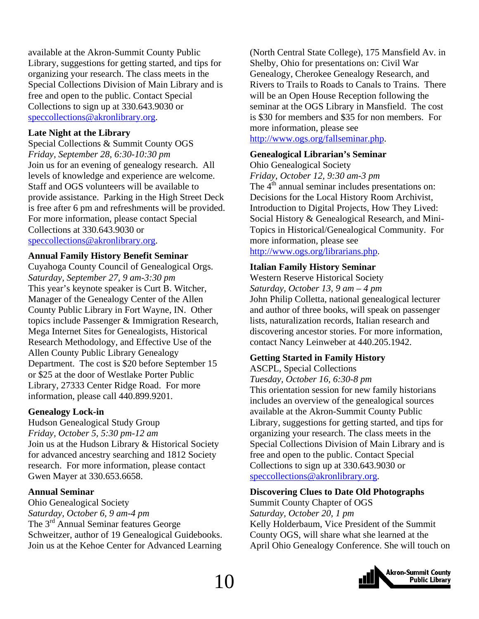available at the Akron-Summit County Public Library, suggestions for getting started, and tips for organizing your research. The class meets in the Special Collections Division of Main Library and is free and open to the public. Contact Special Collections to sign up at 330.643.9030 or [speccollections@akronlibrary.org.](mailto:speccollections@akronlibrary.org)

#### **Late Night at the Library**

Special Collections & Summit County OGS *Friday, September 28, 6:30-10:30 pm*  Join us for an evening of genealogy research. All levels of knowledge and experience are welcome. Staff and OGS volunteers will be available to provide assistance. Parking in the High Street Deck is free after 6 pm and refreshments will be provided. For more information, please contact Special Collections at 330.643.9030 or [speccollections@akronlibrary.org.](mailto:speccollections@akronlibrary.org)

#### **Annual Family History Benefit Seminar**

Cuyahoga County Council of Genealogical Orgs. *Saturday, September 27, 9 am-3:30 pm*  This year's keynote speaker is Curt B. Witcher, Manager of the Genealogy Center of the Allen County Public Library in Fort Wayne, IN. Other topics include Passenger & Immigration Research, Mega Internet Sites for Genealogists, Historical Research Methodology, and Effective Use of the Allen County Public Library Genealogy Department. The cost is \$20 before September 15 or \$25 at the door of Westlake Porter Public Library, 27333 Center Ridge Road. For more information, please call 440.899.9201.

#### **Genealogy Lock-in**

Hudson Genealogical Study Group *Friday, October 5, 5:30 pm-12 am*  Join us at the Hudson Library & Historical Society for advanced ancestry searching and 1812 Society research. For more information, please contact Gwen Mayer at 330.653.6658.

#### **Annual Seminar**

Ohio Genealogical Society *Saturday, October 6, 9 am-4 pm*  The 3<sup>rd</sup> Annual Seminar features George Schweitzer, author of 19 Genealogical Guidebooks. Join us at the Kehoe Center for Advanced Learning (North Central State College), 175 Mansfield Av. in Shelby, Ohio for presentations on: Civil War Genealogy, Cherokee Genealogy Research, and Rivers to Trails to Roads to Canals to Trains. There will be an Open House Reception following the seminar at the OGS Library in Mansfield. The cost is \$30 for members and \$35 for non members. For more information, please see

<http://www.ogs.org/fallseminar.php>.

#### **Genealogical Librarian's Seminar**

Ohio Genealogical Society *Friday, October 12, 9:30 am-3 pm*  The  $4<sup>th</sup>$  annual seminar includes presentations on: Decisions for the Local History Room Archivist, Introduction to Digital Projects, How They Lived: Social History & Genealogical Research, and Mini-Topics in Historical/Genealogical Community. For more information, please see [http://www.ogs.org/librarians.php.](http://www.ogs.org/librarians.php)

#### **Italian Family History Seminar**

Western Reserve Historical Society *Saturday, October 13, 9 am – 4 pm*  John Philip Colletta, national genealogical lecturer and author of three books, will speak on passenger lists, naturalization records, Italian research and discovering ancestor stories. For more information, contact Nancy Leinweber at 440.205.1942.

#### **Getting Started in Family History**

ASCPL, Special Collections *Tuesday, October 16, 6:30-8 pm* 

This orientation session for new family historians includes an overview of the genealogical sources available at the Akron-Summit County Public Library, suggestions for getting started, and tips for organizing your research. The class meets in the Special Collections Division of Main Library and is free and open to the public. Contact Special Collections to sign up at 330.643.9030 or [speccollections@akronlibrary.org](mailto:speccollections@akronlibrary.org).

#### **Discovering Clues to Date Old Photographs**

Summit County Chapter of OGS *Saturday, October 20, 1 pm*  Kelly Holderbaum, Vice President of the Summit County OGS, will share what she learned at the April Ohio Genealogy Conference. She will touch on

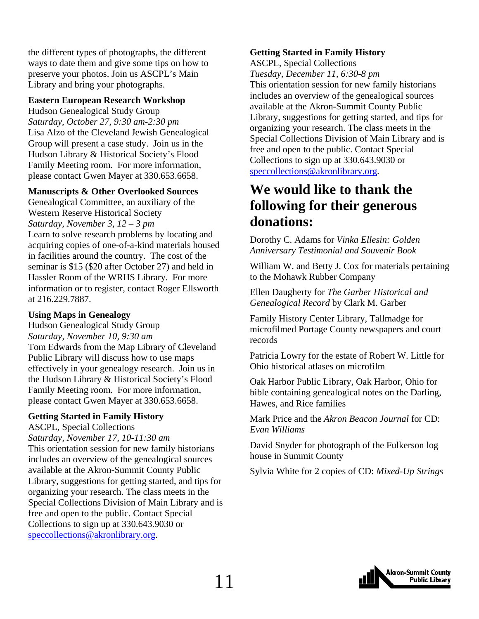the different types of photographs, the different ways to date them and give some tips on how to preserve your photos. Join us ASCPL's Main Library and bring your photographs.

#### **Eastern European Research Workshop**

Hudson Genealogical Study Group *Saturday, October 27, 9:30 am-2:30 pm*  Lisa Alzo of the Cleveland Jewish Genealogical Group will present a case study. Join us in the Hudson Library & Historical Society's Flood Family Meeting room. For more information, please contact Gwen Mayer at 330.653.6658.

#### **Manuscripts & Other Overlooked Sources**

Genealogical Committee, an auxiliary of the Western Reserve Historical Society *Saturday, November 3, 12 – 3 pm*  Learn to solve research problems by locating and acquiring copies of one-of-a-kind materials housed in facilities around the country. The cost of the seminar is \$15 (\$20 after October 27) and held in Hassler Room of the WRHS Library. For more information or to register, contact Roger Ellsworth at 216.229.7887.

#### **Using Maps in Genealogy**

Hudson Genealogical Study Group *Saturday, November 10, 9:30 am*  Tom Edwards from the Map Library of Cleveland Public Library will discuss how to use maps effectively in your genealogy research. Join us in the Hudson Library & Historical Society's Flood Family Meeting room. For more information, please contact Gwen Mayer at 330.653.6658.

#### **Getting Started in Family History**

ASCPL, Special Collections *Saturday, November 17, 10-11:30 am*  This orientation session for new family historians includes an overview of the genealogical sources available at the Akron-Summit County Public Library, suggestions for getting started, and tips for organizing your research. The class meets in the Special Collections Division of Main Library and is free and open to the public. Contact Special Collections to sign up at 330.643.9030 or [speccollections@akronlibrary.org.](mailto:speccollections@akronlibrary.org)

### **Getting Started in Family History**

ASCPL, Special Collections

*Tuesday, December 11, 6:30-8 pm*  This orientation session for new family historians includes an overview of the genealogical sources available at the Akron-Summit County Public Library, suggestions for getting started, and tips for organizing your research. The class meets in the Special Collections Division of Main Library and is free and open to the public. Contact Special Collections to sign up at 330.643.9030 or [speccollections@akronlibrary.org](mailto:speccollections@akronlibrary.org).

### **We would like to thank the following for their generous donations:**

Dorothy C. Adams for *Vinka Ellesin: Golden Anniversary Testimonial and Souvenir Book* 

William W. and Betty J. Cox for materials pertaining to the Mohawk Rubber Company

Ellen Daugherty for *The Garber Historical and Genealogical Record* by Clark M. Garber

Family History Center Library, Tallmadge for microfilmed Portage County newspapers and court records

Patricia Lowry for the estate of Robert W. Little for Ohio historical atlases on microfilm

Oak Harbor Public Library, Oak Harbor, Ohio for bible containing genealogical notes on the Darling, Hawes, and Rice families

Mark Price and the *Akron Beacon Journal* for CD: *Evan Williams* 

David Snyder for photograph of the Fulkerson log house in Summit County

Sylvia White for 2 copies of CD: *Mixed-Up Strings* 

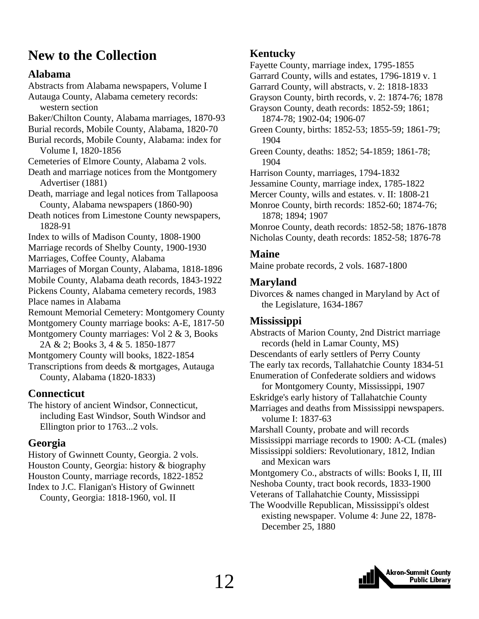### **New to the Collection**

#### **Alabama**

Abstracts from Alabama newspapers, Volume I Autauga County, Alabama cemetery records: western section Baker/Chilton County, Alabama marriages, 1870-93 Burial records, Mobile County, Alabama, 1820-70 Burial records, Mobile County, Alabama: index for Volume I, 1820-1856 Cemeteries of Elmore County, Alabama 2 vols. Death and marriage notices from the Montgomery Advertiser (1881) Death, marriage and legal notices from Tallapoosa County, Alabama newspapers (1860-90) Death notices from Limestone County newspapers, 1828-91 Index to wills of Madison County, 1808-1900 Marriage records of Shelby County, 1900-1930 Marriages, Coffee County, Alabama Marriages of Morgan County, Alabama, 1818-1896 Mobile County, Alabama death records, 1843-1922 Pickens County, Alabama cemetery records, 1983 Place names in Alabama Remount Memorial Cemetery: Montgomery County Montgomery County marriage books: A-E, 1817-50 Montgomery County marriages: Vol 2 & 3, Books 2A & 2; Books 3, 4 & 5. 1850-1877 Montgomery County will books, 1822-1854 Transcriptions from deeds & mortgages, Autauga County, Alabama (1820-1833) **Connecticut** 

The history of ancient Windsor, Connecticut, including East Windsor, South Windsor and Ellington prior to 1763...2 vols.

#### **Georgia**

History of Gwinnett County, Georgia. 2 vols. Houston County, Georgia: history & biography Houston County, marriage records, 1822-1852 Index to J.C. Flanigan's History of Gwinnett County, Georgia: 1818-1960, vol. II

#### **Kentucky**

Fayette County, marriage index, 1795-1855 Garrard County, wills and estates, 1796-1819 v. 1 Garrard County, will abstracts, v. 2: 1818-1833 Grayson County, birth records, v. 2: 1874-76; 1878 Grayson County, death records: 1852-59; 1861; 1874-78; 1902-04; 1906-07 Green County, births: 1852-53; 1855-59; 1861-79; 1904 Green County, deaths: 1852; 54-1859; 1861-78; 1904 Harrison County, marriages, 1794-1832 Jessamine County, marriage index, 1785-1822 Mercer County, wills and estates. v. II: 1808-21 Monroe County, birth records: 1852-60; 1874-76; 1878; 1894; 1907 Monroe County, death records: 1852-58; 1876-1878 Nicholas County, death records: 1852-58; 1876-78

#### **Maine**

Maine probate records, 2 vols. 1687-1800

#### **Maryland**

Divorces & names changed in Maryland by Act of the Legislature, 1634-1867

#### **Mississippi**

Abstracts of Marion County, 2nd District marriage records (held in Lamar County, MS) Descendants of early settlers of Perry County The early tax records, Tallahatchie County 1834-51 Enumeration of Confederate soldiers and widows for Montgomery County, Mississippi, 1907 Eskridge's early history of Tallahatchie County Marriages and deaths from Mississippi newspapers. volume I: 1837-63 Marshall County, probate and will records Mississippi marriage records to 1900: A-CL (males) Mississippi soldiers: Revolutionary, 1812, Indian and Mexican wars Montgomery Co., abstracts of wills: Books I, II, III Neshoba County, tract book records, 1833-1900 Veterans of Tallahatchie County, Mississippi The Woodville Republican, Mississippi's oldest existing newspaper. Volume 4: June 22, 1878- December 25, 1880

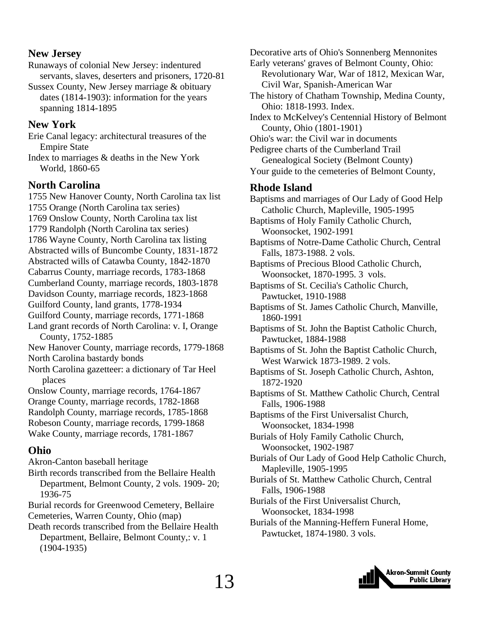#### **New Jersey**

Runaways of colonial New Jersey: indentured servants, slaves, deserters and prisoners, 1720-81

Sussex County, New Jersey marriage & obituary dates (1814-1903): information for the years spanning 1814-1895

#### **New York**

Erie Canal legacy: architectural treasures of the Empire State Index to marriages & deaths in the New York

World, 1860-65

#### **North Carolina**

1755 New Hanover County, North Carolina tax list 1755 Orange (North Carolina tax series) 1769 Onslow County, North Carolina tax list 1779 Randolph (North Carolina tax series) 1786 Wayne County, North Carolina tax listing Abstracted wills of Buncombe County, 1831-1872 Abstracted wills of Catawba County, 1842-1870 Cabarrus County, marriage records, 1783-1868 Cumberland County, marriage records, 1803-1878 Davidson County, marriage records, 1823-1868 Guilford County, land grants, 1778-1934 Guilford County, marriage records, 1771-1868 Land grant records of North Carolina: v. I, Orange County, 1752-1885 New Hanover County, marriage records, 1779-1868 North Carolina bastardy bonds North Carolina gazetteer: a dictionary of Tar Heel places Onslow County, marriage records, 1764-1867 Orange County, marriage records, 1782-1868 Randolph County, marriage records, 1785-1868 Robeson County, marriage records, 1799-1868 Wake County, marriage records, 1781-1867

#### **Ohio**

Akron-Canton baseball heritage

Birth records transcribed from the Bellaire Health Department, Belmont County, 2 vols. 1909- 20; 1936-75

Burial records for Greenwood Cemetery, Bellaire Cemeteries, Warren County, Ohio (map)

Death records transcribed from the Bellaire Health Department, Bellaire, Belmont County,: v. 1 (1904-1935)

Decorative arts of Ohio's Sonnenberg Mennonites Early veterans' graves of Belmont County, Ohio: Revolutionary War, War of 1812, Mexican War, Civil War, Spanish-American War The history of Chatham Township, Medina County, Ohio: 1818-1993. Index. Index to McKelvey's Centennial History of Belmont County, Ohio (1801-1901) Ohio's war: the Civil war in documents Pedigree charts of the Cumberland Trail Genealogical Society (Belmont County) Your guide to the cemeteries of Belmont County, **Rhode Island**  Baptisms and marriages of Our Lady of Good Help Catholic Church, Mapleville, 1905-1995 Baptisms of Holy Family Catholic Church, Woonsocket, 1902-1991 Baptisms of Notre-Dame Catholic Church, Central Falls, 1873-1988. 2 vols. Baptisms of Precious Blood Catholic Church, Woonsocket, 1870-1995. 3 vols. Baptisms of St. Cecilia's Catholic Church, Pawtucket, 1910-1988 Baptisms of St. James Catholic Church, Manville, 1860-1991 Baptisms of St. John the Baptist Catholic Church, Pawtucket, 1884-1988 Baptisms of St. John the Baptist Catholic Church, West Warwick 1873-1989. 2 vols. Baptisms of St. Joseph Catholic Church, Ashton, 1872-1920 Baptisms of St. Matthew Catholic Church, Central Falls, 1906-1988 Baptisms of the First Universalist Church, Woonsocket, 1834-1998 Burials of Holy Family Catholic Church, Woonsocket, 1902-1987 Burials of Our Lady of Good Help Catholic Church, Mapleville, 1905-1995 Burials of St. Matthew Catholic Church, Central Falls, 1906-1988 Burials of the First Universalist Church, Woonsocket, 1834-1998 Burials of the Manning-Heffern Funeral Home, Pawtucket, 1874-1980. 3 vols.

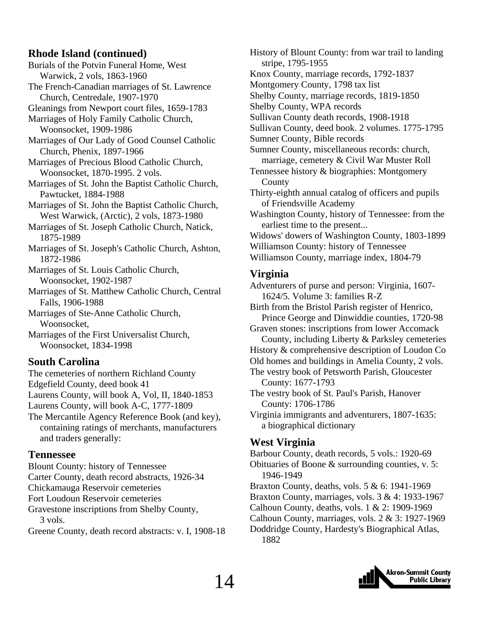#### **Rhode Island (continued)**

Burials of the Potvin Funeral Home, West Warwick, 2 vols, 1863-1960

The French-Canadian marriages of St. Lawrence Church, Centredale, 1907-1970

Gleanings from Newport court files, 1659-1783

Marriages of Holy Family Catholic Church, Woonsocket, 1909-1986

Marriages of Our Lady of Good Counsel Catholic Church, Phenix, 1897-1966

Marriages of Precious Blood Catholic Church, Woonsocket, 1870-1995. 2 vols.

Marriages of St. John the Baptist Catholic Church, Pawtucket, 1884-1988

Marriages of St. John the Baptist Catholic Church, West Warwick, (Arctic), 2 vols, 1873-1980

Marriages of St. Joseph Catholic Church, Natick, 1875-1989

Marriages of St. Joseph's Catholic Church, Ashton, 1872-1986

Marriages of St. Louis Catholic Church, Woonsocket, 1902-1987

Marriages of St. Matthew Catholic Church, Central Falls, 1906-1988

Marriages of Ste-Anne Catholic Church, Woonsocket,

Marriages of the First Universalist Church, Woonsocket, 1834-1998

#### **South Carolina**

The cemeteries of northern Richland County Edgefield County, deed book 41 Laurens County, will book A, Vol, II, 1840-1853 Laurens County, will book A-C, 1777-1809 The Mercantile Agency Reference Book (and key), containing ratings of merchants, manufacturers and traders generally:

#### **Tennessee**

Blount County: history of Tennessee Carter County, death record abstracts, 1926-34

Chickamauga Reservoir cemeteries

Fort Loudoun Reservoir cemeteries

Gravestone inscriptions from Shelby County, 3 vols.

Greene County, death record abstracts: v. I, 1908-18

History of Blount County: from war trail to landing stripe, 1795-1955 Knox County, marriage records, 1792-1837 Montgomery County, 1798 tax list Shelby County, marriage records, 1819-1850 Shelby County, WPA records Sullivan County death records, 1908-1918 Sullivan County, deed book. 2 volumes. 1775-1795 Sumner County, Bible records Sumner County, miscellaneous records: church, marriage, cemetery & Civil War Muster Roll Tennessee history & biographies: Montgomery County Thirty-eighth annual catalog of officers and pupils of Friendsville Academy Washington County, history of Tennessee: from the earliest time to the present... Widows' dowers of Washington County, 1803-1899 Williamson County: history of Tennessee Williamson County, marriage index, 1804-79

#### **Virginia**

Adventurers of purse and person: Virginia, 1607- 1624/5. Volume 3: families R-Z Birth from the Bristol Parish register of Henrico, Prince George and Dinwiddie counties, 1720-98

Graven stones: inscriptions from lower Accomack

 County, including Liberty & Parksley cemeteries History & comprehensive description of Loudon Co Old homes and buildings in Amelia County, 2 vols.

The vestry book of Petsworth Parish, Gloucester County: 1677-1793

The vestry book of St. Paul's Parish, Hanover County: 1706-1786

Virginia immigrants and adventurers, 1807-1635: a biographical dictionary

#### **West Virginia**

Barbour County, death records, 5 vols.: 1920-69 Obituaries of Boone & surrounding counties, v. 5: 1946-1949

Braxton County, deaths, vols. 5 & 6: 1941-1969

Braxton County, marriages, vols. 3 & 4: 1933-1967

Calhoun County, deaths, vols. 1 & 2: 1909-1969

Calhoun County, marriages, vols. 2 & 3: 1927-1969

Doddridge County, Hardesty's Biographical Atlas, 1882

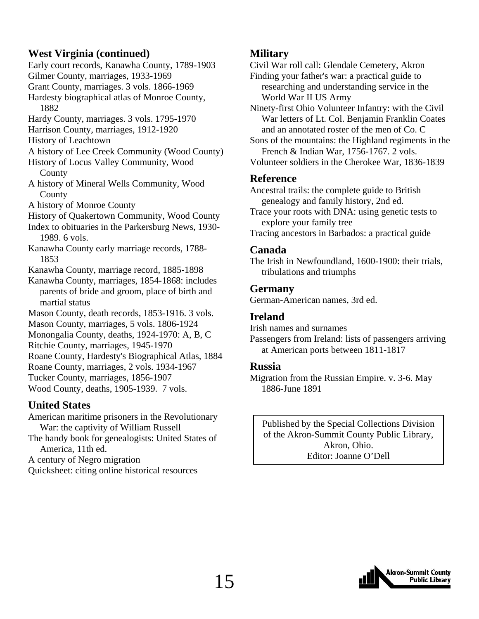#### **West Virginia (continued)**

Early court records, Kanawha County, 1789-1903 Gilmer County, marriages, 1933-1969 Grant County, marriages. 3 vols. 1866-1969 Hardesty biographical atlas of Monroe County, 1882 Hardy County, marriages. 3 vols. 1795-1970 Harrison County, marriages, 1912-1920 History of Leachtown A history of Lee Creek Community (Wood County) History of Locus Valley Community, Wood **County** A history of Mineral Wells Community, Wood County A history of Monroe County History of Quakertown Community, Wood County Index to obituaries in the Parkersburg News, 1930- 1989. 6 vols. Kanawha County early marriage records, 1788- 1853 Kanawha County, marriage record, 1885-1898 Kanawha County, marriages, 1854-1868: includes parents of bride and groom, place of birth and martial status Mason County, death records, 1853-1916. 3 vols. Mason County, marriages, 5 vols. 1806-1924 Monongalia County, deaths, 1924-1970: A, B, C Ritchie County, marriages, 1945-1970 Roane County, Hardesty's Biographical Atlas, 1884 Roane County, marriages, 2 vols. 1934-1967 Tucker County, marriages, 1856-1907 Wood County, deaths, 1905-1939. 7 vols. **United States** 

American maritime prisoners in the Revolutionary War: the captivity of William Russell

The handy book for genealogists: United States of America, 11th ed.

A century of Negro migration

Quicksheet: citing online historical resources

#### **Military**

Civil War roll call: Glendale Cemetery, Akron

Finding your father's war: a practical guide to researching and understanding service in the World War II US Army

Ninety-first Ohio Volunteer Infantry: with the Civil War letters of Lt. Col. Benjamin Franklin Coates and an annotated roster of the men of Co. C

Sons of the mountains: the Highland regiments in the French & Indian War, 1756-1767. 2 vols.

Volunteer soldiers in the Cherokee War, 1836-1839

#### **Reference**

Ancestral trails: the complete guide to British genealogy and family history, 2nd ed.

Trace your roots with DNA: using genetic tests to explore your family tree

Tracing ancestors in Barbados: a practical guide

#### **Canada**

The Irish in Newfoundland, 1600-1900: their trials, tribulations and triumphs

#### **Germany**

German-American names, 3rd ed.

#### **Ireland**

Irish names and surnames

Passengers from Ireland: lists of passengers arriving at American ports between 1811-1817

#### **Russia**

Migration from the Russian Empire. v. 3-6. May 1886-June 1891

Published by the Special Collections Division of the Akron-Summit County Public Library, Akron, Ohio. Editor: Joanne O'Dell